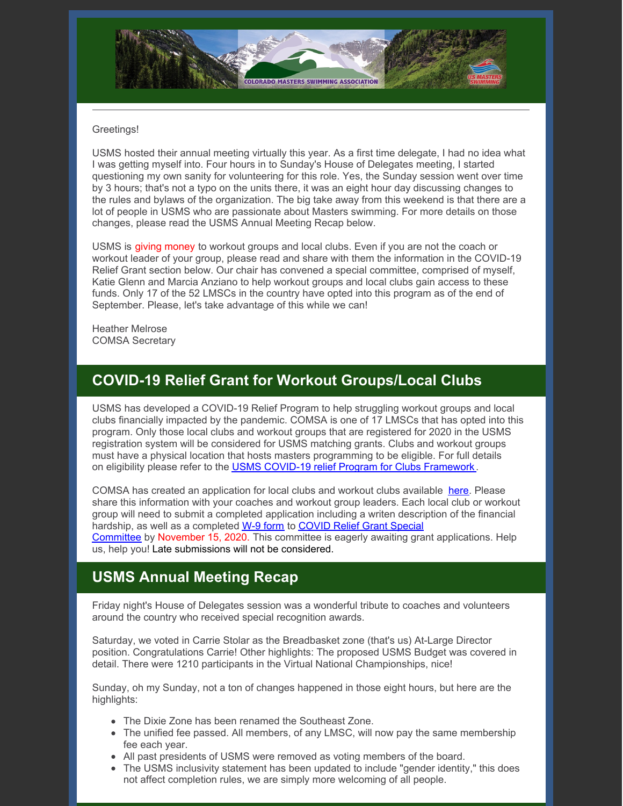

#### Greetings!

USMS hosted their annual meeting virtually this year. As a first time delegate, I had no idea what I was getting myself into. Four hours in to Sunday's House of Delegates meeting, I started questioning my own sanity for volunteering for this role. Yes, the Sunday session went over time by 3 hours; that's not a typo on the units there, it was an eight hour day discussing changes to the rules and bylaws of the organization. The big take away from this weekend is that there are a lot of people in USMS who are passionate about Masters swimming. For more details on those changes, please read the USMS Annual Meeting Recap below.

USMS is giving money to workout groups and local clubs. Even if you are not the coach or workout leader of your group, please read and share with them the information in the COVID-19 Relief Grant section below. Our chair has convened a special committee, comprised of myself, Katie Glenn and Marcia Anziano to help workout groups and local clubs gain access to these funds. Only 17 of the 52 LMSCs in the country have opted into this program as of the end of September. Please, let's take advantage of this while we can!

Heather Melrose COMSA Secretary

### **COVID-19 Relief Grant for Workout Groups/Local Clubs**

USMS has developed a COVID-19 Relief Program to help struggling workout groups and local clubs financially impacted by the pandemic. COMSA is one of 17 LMSCs that has opted into this program. Only those local clubs and workout groups that are registered for 2020 in the USMS registration system will be considered for USMS matching grants. Clubs and workout groups must have a physical location that hosts masters programming to be eligible. For full details on eligibility please refer to the USMS COVID-19 relief Program for Clubs [Framework](https://www.usms.org/volunteer-central/guide-to-local-operations/covid-19-volunteer-information/usms-covid-19-relief-program-for-club-framework) .

COMSA has created an application for local clubs and workout clubs available [here](https://files.constantcontact.com/97cb2c13201/2de791db-054b-4859-971f-b083cc95e06f.pdf). Please share this information with your coaches and workout group leaders. Each local club or workout group will need to submit a completed application including a writen description of the financial hardship, as well as a completed W-9 [form](https://www.usms.org/-/media/usms/pdfs/volunteer central/covid-19/blank w-9 2020.pdf) to COVID Relief Grant Special [Committee](mailto:comastersnewsletter@gmail.com) by November 15, 2020. This committee is eagerly awaiting grant applications. Help us, help you! Late submissions will not be considered.

# **USMS Annual Meeting Recap**

Friday night's House of Delegates session was a wonderful tribute to coaches and volunteers around the country who received special recognition awards.

Saturday, we voted in Carrie Stolar as the Breadbasket zone (that's us) At-Large Director position. Congratulations Carrie! Other highlights: The proposed USMS Budget was covered in detail. There were 1210 participants in the Virtual National Championships, nice!

Sunday, oh my Sunday, not a ton of changes happened in those eight hours, but here are the highlights:

- The Dixie Zone has been renamed the Southeast Zone.
- The unified fee passed. All members, of any LMSC, will now pay the same membership fee each year.
- All past presidents of USMS were removed as voting members of the board.
- The USMS inclusivity statement has been updated to include "gender identity," this does not affect completion rules, we are simply more welcoming of all people.